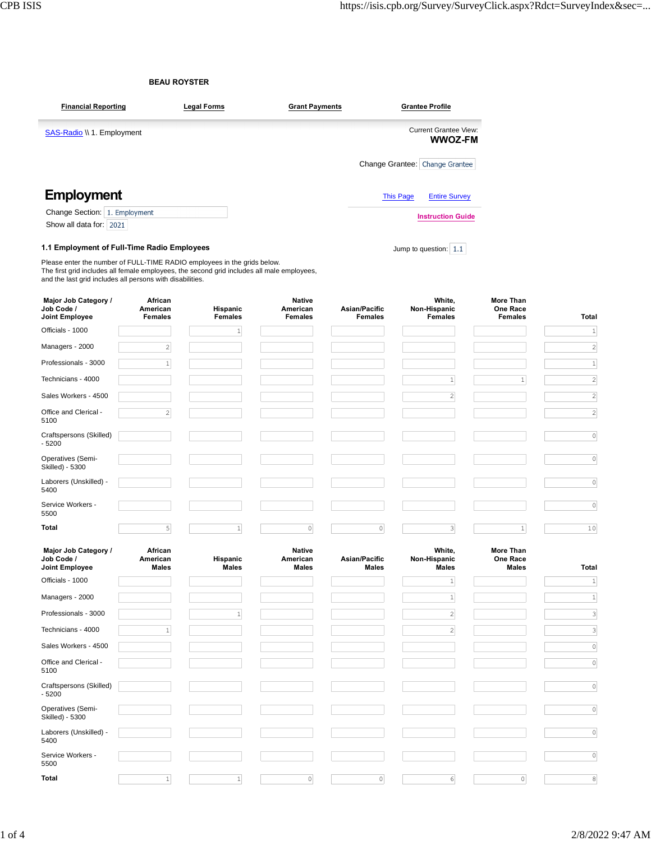|                                                                                                                                                                                                                                     | <b>BEAU ROYSTER</b>                   |                            |                                             |                                 |                                          |                                                |                              |  |  |  |
|-------------------------------------------------------------------------------------------------------------------------------------------------------------------------------------------------------------------------------------|---------------------------------------|----------------------------|---------------------------------------------|---------------------------------|------------------------------------------|------------------------------------------------|------------------------------|--|--|--|
| <b>Financial Reporting</b>                                                                                                                                                                                                          |                                       | <b>Legal Forms</b>         | <b>Grant Payments</b>                       |                                 | <b>Grantee Profile</b>                   |                                                |                              |  |  |  |
| <b>SAS-Radio</b> \\ 1. Employment                                                                                                                                                                                                   |                                       |                            |                                             |                                 | Current Grantee View:<br><b>WWOZ-FM</b>  |                                                |                              |  |  |  |
|                                                                                                                                                                                                                                     |                                       |                            |                                             |                                 | Change Grantee: Change Grantee           |                                                |                              |  |  |  |
| <b>Employment</b>                                                                                                                                                                                                                   |                                       |                            |                                             |                                 | <b>This Page</b><br><b>Entire Survey</b> |                                                |                              |  |  |  |
| Change Section: 1. Employment                                                                                                                                                                                                       |                                       |                            |                                             |                                 | <b>Instruction Guide</b>                 |                                                |                              |  |  |  |
| Show all data for: 2021                                                                                                                                                                                                             |                                       |                            |                                             |                                 |                                          |                                                |                              |  |  |  |
| 1.1 Employment of Full-Time Radio Employees                                                                                                                                                                                         |                                       |                            |                                             |                                 | Jump to question: $1.1$                  |                                                |                              |  |  |  |
| Please enter the number of FULL-TIME RADIO employees in the grids below.<br>The first grid includes all female employees, the second grid includes all male employees,<br>and the last grid includes all persons with disabilities. |                                       |                            |                                             |                                 |                                          |                                                |                              |  |  |  |
| Major Job Category /<br>Job Code /<br>Joint Employee                                                                                                                                                                                | African<br>American<br><b>Females</b> | Hispanic<br><b>Females</b> | <b>Native</b><br>American<br><b>Females</b> | Asian/Pacific<br><b>Females</b> | White,<br>Non-Hispanic<br><b>Females</b> | <b>More Than</b><br>One Race<br><b>Females</b> | Total                        |  |  |  |
| Officials - 1000                                                                                                                                                                                                                    |                                       | $\vert$                    |                                             |                                 |                                          |                                                | $\mathbf{1}$                 |  |  |  |
| Managers - 2000                                                                                                                                                                                                                     | $\sqrt{2}$                            |                            |                                             |                                 |                                          |                                                | $\left  \right $             |  |  |  |
| Professionals - 3000                                                                                                                                                                                                                | $\mathbf{1}$                          |                            |                                             |                                 |                                          |                                                | 1                            |  |  |  |
| Technicians - 4000                                                                                                                                                                                                                  |                                       |                            |                                             |                                 | $1\,$                                    | $1\,$                                          | $\left  \right $             |  |  |  |
| Sales Workers - 4500                                                                                                                                                                                                                |                                       |                            |                                             |                                 | $\sqrt{2}$                               |                                                | $\left  \frac{2}{2} \right $ |  |  |  |
| Office and Clerical -<br>5100                                                                                                                                                                                                       | $\sqrt{2}$                            |                            |                                             |                                 |                                          |                                                | $\left  \right $             |  |  |  |
| Craftspersons (Skilled)<br>$-5200$                                                                                                                                                                                                  |                                       |                            |                                             |                                 |                                          |                                                | 0                            |  |  |  |
| Operatives (Semi-<br>Skilled) - 5300                                                                                                                                                                                                |                                       |                            |                                             |                                 |                                          |                                                | 0                            |  |  |  |
| Laborers (Unskilled) -<br>5400                                                                                                                                                                                                      |                                       |                            |                                             |                                 |                                          |                                                | $\circ$                      |  |  |  |
| Service Workers -<br>5500                                                                                                                                                                                                           |                                       |                            |                                             |                                 |                                          |                                                | 0                            |  |  |  |
| Total                                                                                                                                                                                                                               | 5 <sup>1</sup>                        | $\mathbf{1}$               | $\circ$                                     | $\mathsf{O}\xspace$             | $\mathbf{3}$                             | $1\,$                                          | 10                           |  |  |  |
| Major Job Category /<br>Job Code /<br><b>Joint Employee</b>                                                                                                                                                                         | African<br>American<br><b>Males</b>   | Hispanic<br><b>Males</b>   | <b>Native</b><br>American<br>Males          | Asian/Pacific<br><b>Males</b>   | White,<br>Non-Hispanic<br>Males          | More Than<br>One Race<br><b>Males</b>          | Total                        |  |  |  |
| Officials - 1000                                                                                                                                                                                                                    |                                       |                            |                                             |                                 | $\mathbf{1}$                             |                                                | $\left  \frac{1}{2} \right $ |  |  |  |
| Managers - 2000                                                                                                                                                                                                                     |                                       |                            |                                             |                                 | $\vert$                                  |                                                | $\mathbf{1}$                 |  |  |  |
| Professionals - 3000                                                                                                                                                                                                                |                                       | $\mathbf{1}$               |                                             |                                 | $\left  \right $                         |                                                | $\left  \frac{3}{2} \right $ |  |  |  |
| Technicians - 4000                                                                                                                                                                                                                  | $\mathbf 1$                           |                            |                                             |                                 | $\overline{2}$                           |                                                | $\overline{\mathbf{3}}$      |  |  |  |
| Sales Workers - 4500                                                                                                                                                                                                                |                                       |                            |                                             |                                 |                                          |                                                | 0                            |  |  |  |
| Office and Clerical -<br>5100                                                                                                                                                                                                       |                                       |                            |                                             |                                 |                                          |                                                | 0                            |  |  |  |
| Craftspersons (Skilled)<br>$-5200$                                                                                                                                                                                                  |                                       |                            |                                             |                                 |                                          |                                                | $\circ$                      |  |  |  |
| Operatives (Semi-<br>Skilled) - 5300                                                                                                                                                                                                |                                       |                            |                                             |                                 |                                          |                                                | 0                            |  |  |  |
| Laborers (Unskilled) -<br>5400                                                                                                                                                                                                      |                                       |                            |                                             |                                 |                                          |                                                | $\circ$                      |  |  |  |

**Total** 1 1 0 0 6 0 8

 $\sim$  1

Service Workers -

 $\mathcal{L}(\mathcal{A})$ 

 $\sim$ 

5500

 $\boxed{0}$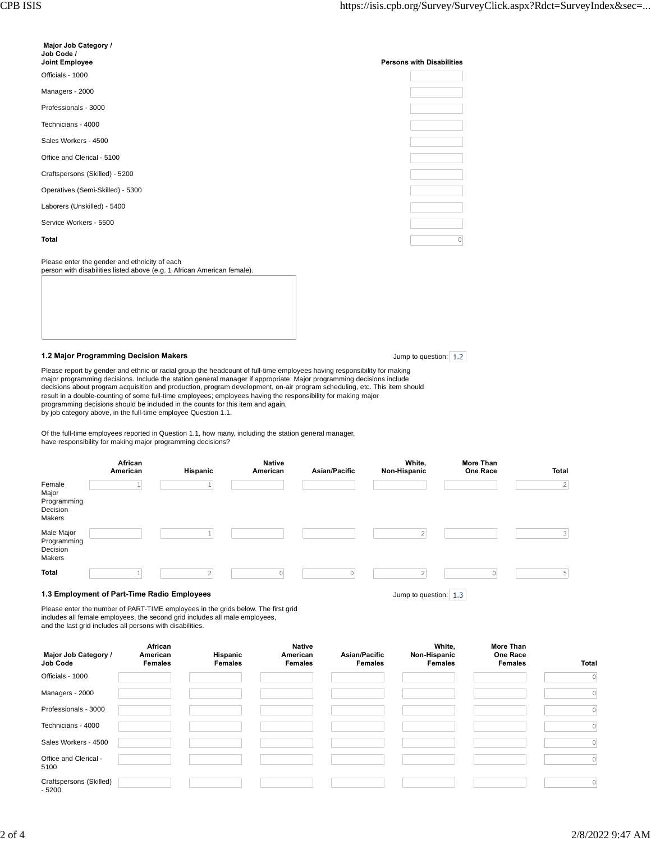| Major Job Category /<br>Job Code /<br>Joint Employee                                                                     | <b>Persons with Disabilities</b> |
|--------------------------------------------------------------------------------------------------------------------------|----------------------------------|
| Officials - 1000                                                                                                         |                                  |
| Managers - 2000                                                                                                          |                                  |
| Professionals - 3000                                                                                                     |                                  |
| Technicians - 4000                                                                                                       |                                  |
| Sales Workers - 4500                                                                                                     |                                  |
| Office and Clerical - 5100                                                                                               |                                  |
| Craftspersons (Skilled) - 5200                                                                                           |                                  |
| Operatives (Semi-Skilled) - 5300                                                                                         |                                  |
| Laborers (Unskilled) - 5400                                                                                              |                                  |
| Service Workers - 5500                                                                                                   |                                  |
| <b>Total</b>                                                                                                             |                                  |
| Please enter the gender and ethnicity of each<br>person with disabilities listed above (e.g. 1 African American female). |                                  |

## **1.2 Major Programming Decision Makers**

Jump to question: 1.2

Please report by gender and ethnic or racial group the headcount of full-time employees having responsibility for making major programming decisions. Include the station general manager if appropriate. Major programming decisions include<br>decisions about program acquisition and production, program development, on-air program scheduling, etc. result in a double-counting of some full-time employees; employees having the responsibility for making major programming decisions should be included in the counts for this item and again, by job category above, in the full-time employee Question 1.1.

Of the full-time employees reported in Question 1.1, how many, including the station general manager, have responsibility for making major programming decisions?

|                                                      | African<br>American | Hispanic                                    | <b>Native</b><br>American | Asian/Pacific         | White,<br>Non-Hispanic | More Than<br>One Race | Total     |  |
|------------------------------------------------------|---------------------|---------------------------------------------|---------------------------|-----------------------|------------------------|-----------------------|-----------|--|
| Female<br>Major<br>Programming<br>Decision<br>Makers |                     |                                             |                           |                       |                        |                       | $\vert$ 2 |  |
| Male Major<br>Programming<br>Decision<br>Makers      |                     |                                             |                           |                       | 2                      |                       | 3         |  |
| <b>Total</b>                                         |                     |                                             |                           |                       |                        |                       |           |  |
|                                                      |                     | 1.3 Employment of Part-Time Radio Employees |                           | Jump to question: 1.3 |                        |                       |           |  |

## **1.3 Employment of Part-Time Radio Employees**

Please enter the number of PART-TIME employees in the grids below. The first grid includes all female employees, the second grid includes all male employees, and the last grid includes all persons with disabilities.

| Major Job Category /<br>Job Code   | African<br>American<br><b>Females</b> | Hispanic<br><b>Females</b> | <b>Native</b><br>American<br><b>Females</b> | Asian/Pacific<br><b>Females</b> | White,<br>Non-Hispanic<br><b>Females</b> | <b>More Than</b><br>One Race<br><b>Females</b> | <b>Total</b> |
|------------------------------------|---------------------------------------|----------------------------|---------------------------------------------|---------------------------------|------------------------------------------|------------------------------------------------|--------------|
| Officials - 1000                   |                                       |                            |                                             |                                 |                                          |                                                | $\circ$      |
| Managers - 2000                    |                                       |                            |                                             |                                 |                                          |                                                | $\circ$      |
| Professionals - 3000               |                                       |                            |                                             |                                 |                                          |                                                | $\circ$      |
| Technicians - 4000                 |                                       |                            |                                             |                                 |                                          |                                                | $\circ$      |
| Sales Workers - 4500               |                                       |                            |                                             |                                 |                                          |                                                | $\circ$      |
| Office and Clerical -<br>5100      |                                       |                            |                                             |                                 |                                          |                                                | $\circ$      |
| Craftspersons (Skilled)<br>$-5200$ |                                       |                            |                                             |                                 |                                          |                                                | 0            |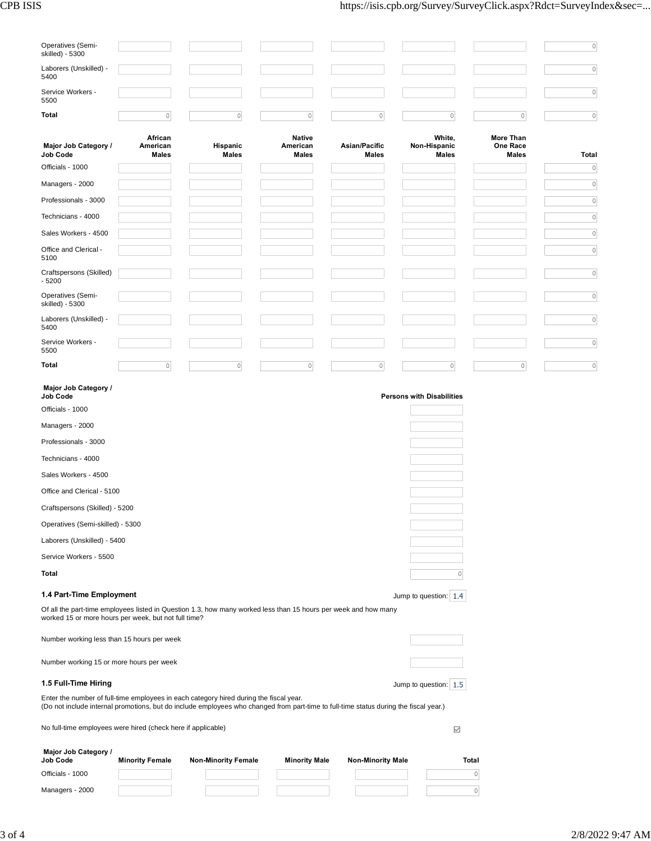| Operatives (Semi-<br>skilled) - 5300                         |                                     |                                                                                                                                                                                                                                 |                                           |                               |                                  |                                              | $\circ$      |
|--------------------------------------------------------------|-------------------------------------|---------------------------------------------------------------------------------------------------------------------------------------------------------------------------------------------------------------------------------|-------------------------------------------|-------------------------------|----------------------------------|----------------------------------------------|--------------|
| Laborers (Unskilled) -<br>5400                               |                                     |                                                                                                                                                                                                                                 |                                           |                               |                                  |                                              | $\mathbb O$  |
| Service Workers -<br>5500                                    |                                     |                                                                                                                                                                                                                                 |                                           |                               |                                  |                                              | $\mathbb O$  |
| Total                                                        | $\mathbb O$                         | $\mathsf O$                                                                                                                                                                                                                     | $\circ$                                   | $\mathbb O$                   | $\mathbb O$                      | $\mathbb O$                                  | $\circ$      |
|                                                              |                                     |                                                                                                                                                                                                                                 |                                           |                               |                                  |                                              |              |
| Major Job Category /<br><b>Job Code</b>                      | African<br>American<br><b>Males</b> | Hispanic<br><b>Males</b>                                                                                                                                                                                                        | <b>Native</b><br>American<br><b>Males</b> | Asian/Pacific<br><b>Males</b> | White,<br>Non-Hispanic<br>Males  | <b>More Than</b><br>One Race<br><b>Males</b> | <b>Total</b> |
| Officials - 1000                                             |                                     |                                                                                                                                                                                                                                 |                                           |                               |                                  |                                              | $\circ$      |
| Managers - 2000                                              |                                     |                                                                                                                                                                                                                                 |                                           |                               |                                  |                                              | $\circ$      |
| Professionals - 3000                                         |                                     |                                                                                                                                                                                                                                 |                                           |                               |                                  |                                              | $\circ$      |
| Technicians - 4000                                           |                                     |                                                                                                                                                                                                                                 |                                           |                               |                                  |                                              | $\circ$      |
| Sales Workers - 4500                                         |                                     |                                                                                                                                                                                                                                 |                                           |                               |                                  |                                              | $\circ$      |
| Office and Clerical -<br>5100                                |                                     |                                                                                                                                                                                                                                 |                                           |                               |                                  |                                              | $\circ$      |
| Craftspersons (Skilled)<br>$-5200$                           |                                     |                                                                                                                                                                                                                                 |                                           |                               |                                  |                                              | $\circ$      |
| Operatives (Semi-<br>skilled) - 5300                         |                                     |                                                                                                                                                                                                                                 |                                           |                               |                                  |                                              | $\circ$      |
| Laborers (Unskilled) -<br>5400                               |                                     |                                                                                                                                                                                                                                 |                                           |                               |                                  |                                              | $\circ$      |
| Service Workers -<br>5500                                    |                                     |                                                                                                                                                                                                                                 |                                           |                               |                                  |                                              | $\mathbb O$  |
| Total                                                        | $\mathsf{O}\xspace$                 | $\circ$                                                                                                                                                                                                                         | $\circ$                                   | $\circ$                       | $\mathbb O$                      | $\mathbb O$                                  | $\circ$      |
| Major Job Category /<br><b>Job Code</b>                      |                                     |                                                                                                                                                                                                                                 |                                           |                               | <b>Persons with Disabilities</b> |                                              |              |
| Officials - 1000                                             |                                     |                                                                                                                                                                                                                                 |                                           |                               |                                  |                                              |              |
| Managers - 2000                                              |                                     |                                                                                                                                                                                                                                 |                                           |                               |                                  |                                              |              |
| Professionals - 3000                                         |                                     |                                                                                                                                                                                                                                 |                                           |                               |                                  |                                              |              |
| Technicians - 4000                                           |                                     |                                                                                                                                                                                                                                 |                                           |                               |                                  |                                              |              |
| Sales Workers - 4500                                         |                                     |                                                                                                                                                                                                                                 |                                           |                               |                                  |                                              |              |
| Office and Clerical - 5100                                   |                                     |                                                                                                                                                                                                                                 |                                           |                               |                                  |                                              |              |
| Craftspersons (Skilled) - 5200                               |                                     |                                                                                                                                                                                                                                 |                                           |                               |                                  |                                              |              |
| Operatives (Semi-skilled) - 5300                             |                                     |                                                                                                                                                                                                                                 |                                           |                               |                                  |                                              |              |
| Laborers (Unskilled) - 5400                                  |                                     |                                                                                                                                                                                                                                 |                                           |                               |                                  |                                              |              |
| Service Workers - 5500                                       |                                     |                                                                                                                                                                                                                                 |                                           |                               |                                  |                                              |              |
| Total                                                        |                                     |                                                                                                                                                                                                                                 |                                           |                               | 0                                |                                              |              |
| 1.4 Part-Time Employment                                     |                                     |                                                                                                                                                                                                                                 |                                           |                               | Jump to question: 1.4            |                                              |              |
| worked 15 or more hours per week, but not full time?         |                                     | Of all the part-time employees listed in Question 1.3, how many worked less than 15 hours per week and how many                                                                                                                 |                                           |                               |                                  |                                              |              |
| Number working less than 15 hours per week                   |                                     |                                                                                                                                                                                                                                 |                                           |                               |                                  |                                              |              |
| Number working 15 or more hours per week                     |                                     |                                                                                                                                                                                                                                 |                                           |                               |                                  |                                              |              |
| 1.5 Full-Time Hiring                                         |                                     |                                                                                                                                                                                                                                 |                                           |                               | Jump to question: 1.5            |                                              |              |
|                                                              |                                     | Enter the number of full-time employees in each category hired during the fiscal year.<br>(Do not include internal promotions, but do include employees who changed from part-time to full-time status during the fiscal year.) |                                           |                               |                                  |                                              |              |
| No full-time employees were hired (check here if applicable) |                                     |                                                                                                                                                                                                                                 |                                           |                               | $\checkmark$                     |                                              |              |
| Major Job Category /<br><b>Job Code</b>                      | <b>Minority Female</b>              | <b>Non-Minority Female</b>                                                                                                                                                                                                      | <b>Minority Male</b>                      | <b>Non-Minority Male</b>      |                                  | Total                                        |              |
|                                                              |                                     |                                                                                                                                                                                                                                 |                                           |                               |                                  |                                              |              |
| Officials - 1000                                             |                                     |                                                                                                                                                                                                                                 |                                           |                               |                                  | $\circ$                                      |              |